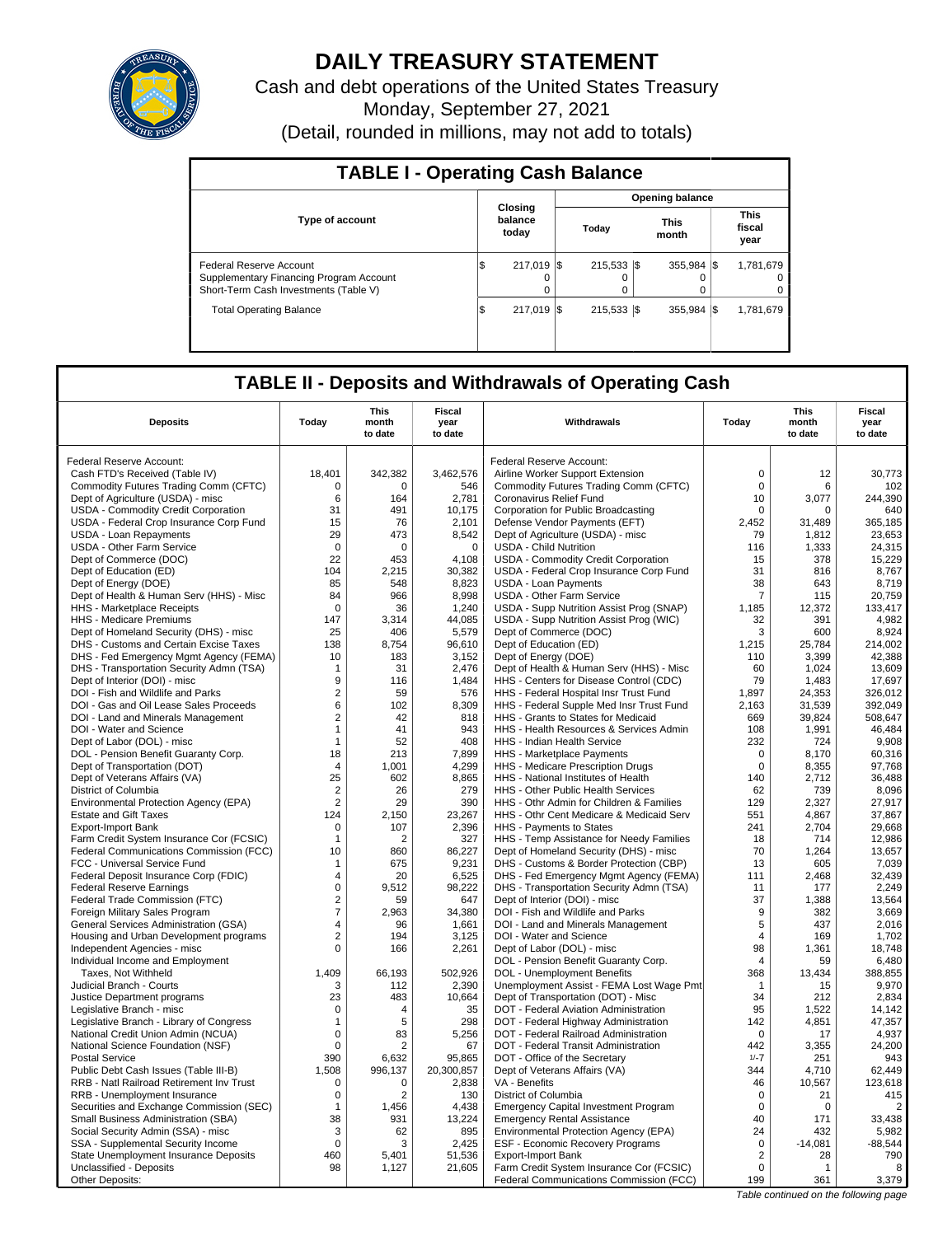

# **DAILY TREASURY STATEMENT**

Cash and debt operations of the United States Treasury Monday, September 27, 2021 (Detail, rounded in millions, may not add to totals)

| <b>TABLE I - Operating Cash Balance</b>                                                                     |                             |  |                       |  |                      |  |                               |  |  |  |  |
|-------------------------------------------------------------------------------------------------------------|-----------------------------|--|-----------------------|--|----------------------|--|-------------------------------|--|--|--|--|
|                                                                                                             | Opening balance             |  |                       |  |                      |  |                               |  |  |  |  |
| <b>Type of account</b>                                                                                      | Closing<br>balance<br>today |  | Today                 |  | <b>This</b><br>month |  | <b>This</b><br>fiscal<br>year |  |  |  |  |
| Federal Reserve Account<br>Supplementary Financing Program Account<br>Short-Term Cash Investments (Table V) | 217.019 \$<br>Φ<br>0        |  | $215.533$ $\sqrt{\$}$ |  | 355.984 \\$<br>0     |  | 1,781,679<br>0                |  |  |  |  |
| <b>Total Operating Balance</b>                                                                              | 217.019 \\$<br>Φ            |  | 215.533 \\$           |  | 355.984 \$           |  | 1,781,679                     |  |  |  |  |

# **TABLE II - Deposits and Withdrawals of Operating Cash**

| Withdrawals<br><b>Deposits</b><br>Today<br>Today<br>month<br>year<br>to date<br>to date                                                        | month<br>to date | Fiscal<br>year<br>to date |
|------------------------------------------------------------------------------------------------------------------------------------------------|------------------|---------------------------|
| Federal Reserve Account:<br>Federal Reserve Account:                                                                                           |                  |                           |
| $\mathsf 0$<br>18,401<br>342,382<br>3,462,576<br>Cash FTD's Received (Table IV)<br>Airline Worker Support Extension                            | 12               | 30,773                    |
| Commodity Futures Trading Comm (CFTC)<br>$\Omega$<br>$\Omega$<br>$\Omega$<br>546<br>Commodity Futures Trading Comm (CFTC)                      | 6                | 102                       |
| Dept of Agriculture (USDA) - misc<br>6<br>164<br>2.781<br>Coronavirus Relief Fund<br>10                                                        | 3,077            | 244,390                   |
| 31<br>USDA - Commodity Credit Corporation<br>491<br>10,175<br>Corporation for Public Broadcasting<br>$\mathbf 0$                               | $\Omega$         | 640                       |
| USDA - Federal Crop Insurance Corp Fund<br>15<br>76<br>2,101<br>Defense Vendor Payments (EFT)<br>2,452                                         | 31,489           | 365,185                   |
| 29<br>8,542<br>USDA - Loan Repayments<br>473<br>Dept of Agriculture (USDA) - misc<br>79                                                        | 1,812            | 23,653                    |
| USDA - Other Farm Service<br>$\mathbf 0$<br>$\mathbf 0$<br>$\mathbf 0$<br><b>USDA - Child Nutrition</b><br>116                                 | 1,333            | 24,315                    |
| Dept of Commerce (DOC)<br>22<br>453<br>4.108<br>USDA - Commodity Credit Corporation<br>15                                                      | 378              | 15,229                    |
| Dept of Education (ED)<br>104<br>2,215<br>30,382<br>USDA - Federal Crop Insurance Corp Fund<br>31                                              | 816              | 8,767                     |
| 38<br>Dept of Energy (DOE)<br>85<br>548<br>8,823<br><b>USDA - Loan Payments</b>                                                                | 643              | 8,719                     |
| 8,998<br>Dept of Health & Human Serv (HHS) - Misc<br>966<br>USDA - Other Farm Service<br>7<br>84                                               | 115              | 20,759                    |
| 1,240<br>$\Omega$<br>36                                                                                                                        | 12,372           | 133,417                   |
| <b>HHS</b> - Marketplace Receipts<br>USDA - Supp Nutrition Assist Prog (SNAP)<br>1,185                                                         |                  | 4,982                     |
| HHS - Medicare Premiums<br>147<br>44,085<br>USDA - Supp Nutrition Assist Prog (WIC)<br>32<br>3,314<br>Dept of Commerce (DOC)<br>25<br>406<br>3 | 391<br>600       | 8,924                     |
| Dept of Homeland Security (DHS) - misc<br>5,579<br>138<br>8,754<br>Dept of Education (ED)<br>1,215                                             |                  | 214,002                   |
| DHS - Customs and Certain Excise Taxes<br>96,610<br>10<br>183<br>3,152                                                                         | 25,784<br>3,399  | 42,388                    |
| Dept of Energy (DOE)<br>DHS - Fed Emergency Mgmt Agency (FEMA)<br>110                                                                          |                  |                           |
| DHS - Transportation Security Admn (TSA)<br>31<br>2,476<br>Dept of Health & Human Serv (HHS) - Misc<br>60<br>$\mathbf{1}$<br>79                | 1,024            | 13,609                    |
| Dept of Interior (DOI) - misc<br>9<br>HHS - Centers for Disease Control (CDC)<br>116<br>1,484                                                  | 1,483            | 17,697                    |
| DOI - Fish and Wildlife and Parks<br>$\overline{2}$<br>576<br>HHS - Federal Hospital Insr Trust Fund<br>1,897<br>59                            | 24,353           | 326,012                   |
| 6<br>8,309<br>2,163<br>DOI - Gas and Oil Lease Sales Proceeds<br>102<br>HHS - Federal Supple Med Insr Trust Fund                               | 31,539           | 392,049                   |
| DOI - Land and Minerals Management<br>$\overline{2}$<br>42<br>818<br>HHS - Grants to States for Medicaid<br>669                                | 39,824           | 508,647                   |
| 943<br>DOI - Water and Science<br>$\mathbf{1}$<br>41<br>HHS - Health Resources & Services Admin<br>108                                         | 1.991            | 46.484                    |
| 408<br>232<br>Dept of Labor (DOL) - misc<br>52<br>HHS - Indian Health Service<br>$\mathbf{1}$                                                  | 724              | 9,908                     |
| DOL - Pension Benefit Guaranty Corp.<br>18<br>213<br>7.899<br>HHS - Marketplace Payments<br>$\mathbf 0$                                        | 8.170            | 60,316                    |
| 4,299<br>$\mathsf 0$<br>Dept of Transportation (DOT)<br>1,001<br>HHS - Medicare Prescription Drugs<br>4                                        | 8,355            | 97,768                    |
| 25<br>8,865<br>Dept of Veterans Affairs (VA)<br>602<br>HHS - National Institutes of Health<br>140                                              | 2,712            | 36,488                    |
| $\overline{2}$<br>279<br>HHS - Other Public Health Services<br>62<br>District of Columbia<br>26                                                | 739              | 8,096                     |
| Environmental Protection Agency (EPA)<br>$\overline{2}$<br>29<br>390<br>HHS - Othr Admin for Children & Families<br>129                        | 2,327            | 27,917                    |
| 2,150<br>23,267<br><b>Estate and Gift Taxes</b><br>124<br>HHS - Othr Cent Medicare & Medicaid Serv<br>551                                      | 4,867            | 37,867                    |
| $\mathbf 0$<br>2,396<br>HHS - Payments to States<br>241<br><b>Export-Import Bank</b><br>107                                                    | 2,704            | 29,668                    |
| Farm Credit System Insurance Cor (FCSIC)<br>327<br>HHS - Temp Assistance for Needy Families<br>18<br>$\mathbf{1}$<br>2                         | 714              | 12,986                    |
| 10<br>86,227<br>Dept of Homeland Security (DHS) - misc<br>70<br>Federal Communications Commission (FCC)<br>860                                 | 1,264            | 13,657                    |
| FCC - Universal Service Fund<br>675<br>9,231<br>DHS - Customs & Border Protection (CBP)<br>13<br>$\mathbf{1}$                                  | 605              | 7,039                     |
| Federal Deposit Insurance Corp (FDIC)<br>$\overline{4}$<br>20<br>6,525<br>DHS - Fed Emergency Mgmt Agency (FEMA)<br>111                        | 2,468            | 32,439                    |
| <b>Federal Reserve Earnings</b><br>$\mathsf 0$<br>9,512<br>98,222<br>DHS - Transportation Security Admn (TSA)<br>11                            | 177              | 2,249                     |
| $\overline{2}$<br>37<br>Federal Trade Commission (FTC)<br>59<br>647<br>Dept of Interior (DOI) - misc                                           | 1,388            | 13.564                    |
| $\overline{7}$<br>9<br>2,963<br>34,380<br>DOI - Fish and Wildlife and Parks<br>Foreign Military Sales Program                                  | 382              | 3,669                     |
| $\overline{4}$<br>1.661<br>DOI - Land and Minerals Management<br>5<br>General Services Administration (GSA)<br>96                              | 437              | 2.016                     |
| $\overline{2}$<br>3,125<br>DOI - Water and Science<br>$\overline{4}$<br>Housing and Urban Development programs<br>194                          | 169              | 1,702                     |
| $\Omega$<br>98<br>Independent Agencies - misc<br>166<br>2,261<br>Dept of Labor (DOL) - misc                                                    | 1.361            | 18,748                    |
| DOL - Pension Benefit Guaranty Corp.<br>Individual Income and Employment<br>4                                                                  | 59               | 6,480                     |
| 1,409<br>66,193<br>502,926<br><b>DOL</b> - Unemployment Benefits<br>368<br>Taxes, Not Withheld                                                 | 13,434           | 388,855                   |
| Judicial Branch - Courts<br>2,390<br>Unemployment Assist - FEMA Lost Wage Pmt<br>3<br>112<br>$\mathbf{1}$                                      | 15               | 9,970                     |
| 483<br>10,664<br>Justice Department programs<br>23<br>Dept of Transportation (DOT) - Misc<br>34                                                | 212              | 2,834                     |
| $\mathbf 0$<br>DOT - Federal Aviation Administration<br>95<br>Legislative Branch - misc<br>4<br>35                                             | 1,522            | 14,142                    |
| 298<br>142<br>Legislative Branch - Library of Congress<br>5<br>DOT - Federal Highway Administration<br>$\mathbf 1$                             | 4,851            | 47,357                    |
| National Credit Union Admin (NCUA)<br>$\mathbf 0$<br>83<br>5,256<br>DOT - Federal Railroad Administration<br>$\mathbf 0$                       | 17               | 4,937                     |
| National Science Foundation (NSF)<br>0<br>2<br>67<br>DOT - Federal Transit Administration<br>442                                               | 3.355            | 24.200                    |
| <b>Postal Service</b><br>390<br>6,632<br>95,865<br>DOT - Office of the Secretary<br>$1/-7$                                                     | 251              | 943                       |
| 20,300,857<br>Public Debt Cash Issues (Table III-B)<br>1.508<br>996,137<br>Dept of Veterans Affairs (VA)<br>344                                | 4.710            | 62.449                    |
| 46<br>RRB - Natl Railroad Retirement Inv Trust<br>2,838<br>VA - Benefits<br>0<br>0                                                             | 10,567           | 123,618                   |
| RRB - Unemployment Insurance<br>0<br>2<br>130<br>District of Columbia<br>0                                                                     | 21               | 415                       |
| Securities and Exchange Commission (SEC)<br>4,438<br><b>Emergency Capital Investment Program</b><br>$\mathbf 0$<br>$\overline{1}$<br>1,456     | $\mathbf 0$      | $\overline{2}$            |
| 40<br>Small Business Administration (SBA)<br>38<br>931<br>13,224<br><b>Emergency Rental Assistance</b>                                         | 171              | 33,438                    |
| 895<br>24<br>Social Security Admin (SSA) - misc<br>3<br>62<br>Environmental Protection Agency (EPA)                                            | 432              | 5,982                     |
| SSA - Supplemental Security Income<br>$\mathbf 0$<br>2,425<br>ESF - Economic Recovery Programs<br>$\mathsf 0$<br>3                             | $-14,081$        | $-88,544$                 |
| State Unemployment Insurance Deposits<br>460<br>5,401<br>51,536<br><b>Export-Import Bank</b><br>2                                              | 28               | 790                       |
| 98<br>21,605<br>$\mathbf 0$<br>Unclassified - Deposits<br>1,127<br>Farm Credit System Insurance Cor (FCSIC)                                    | $\mathbf{1}$     | 8                         |
| Other Deposits:<br>Federal Communications Commission (FCC)<br>199                                                                              | 361              | 3,379                     |

Table continued on the following page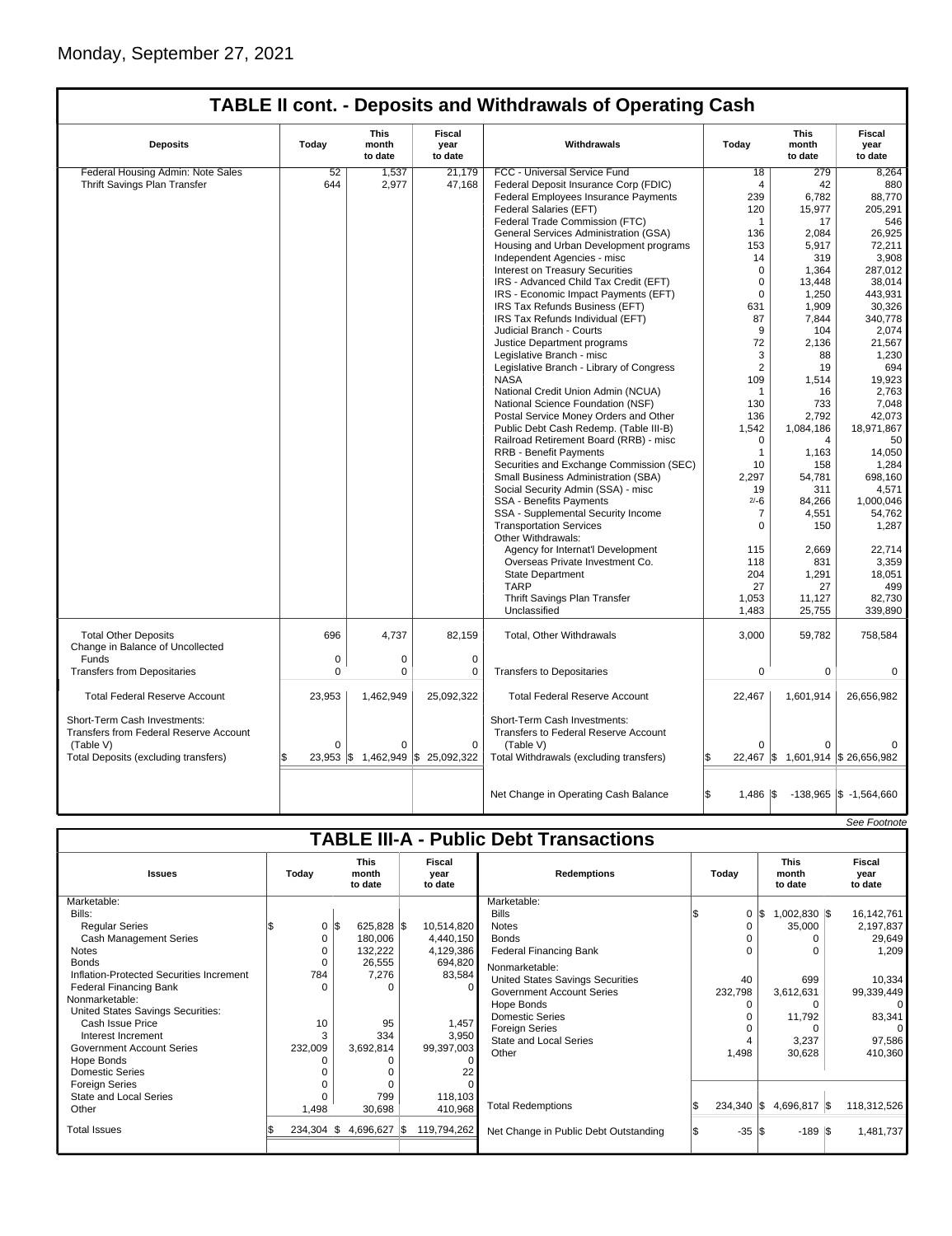| <b>TABLE II cont. - Deposits and Withdrawals of Operating Cash</b>     |              |                                 |                                                  |                                                                             |                |                                   |                                  |  |  |  |
|------------------------------------------------------------------------|--------------|---------------------------------|--------------------------------------------------|-----------------------------------------------------------------------------|----------------|-----------------------------------|----------------------------------|--|--|--|
| <b>Deposits</b>                                                        | Today        | <b>This</b><br>month<br>to date | <b>Fiscal</b><br>year<br>to date                 | Withdrawals                                                                 | Today          | <b>This</b><br>month<br>to date   | <b>Fiscal</b><br>year<br>to date |  |  |  |
| Federal Housing Admin: Note Sales                                      | 52           | 1,537                           | 21.179                                           | FCC - Universal Service Fund                                                | 18             | 279                               | 8.264                            |  |  |  |
| Thrift Savings Plan Transfer                                           | 644          | 2,977                           | 47,168                                           | Federal Deposit Insurance Corp (FDIC)                                       | $\overline{4}$ | 42                                | 880                              |  |  |  |
|                                                                        |              |                                 |                                                  | Federal Employees Insurance Payments                                        | 239            | 6,782                             | 88,770                           |  |  |  |
|                                                                        |              |                                 |                                                  | Federal Salaries (EFT)                                                      | 120            | 15,977                            | 205,291                          |  |  |  |
|                                                                        |              |                                 |                                                  | Federal Trade Commission (FTC)                                              | $\mathbf{1}$   | 17                                | 546                              |  |  |  |
|                                                                        |              |                                 |                                                  | General Services Administration (GSA)                                       | 136            | 2.084                             | 26,925                           |  |  |  |
|                                                                        |              |                                 |                                                  | Housing and Urban Development programs                                      | 153            | 5,917                             | 72,211                           |  |  |  |
|                                                                        |              |                                 |                                                  | Independent Agencies - misc                                                 | 14             | 319                               | 3,908                            |  |  |  |
|                                                                        |              |                                 |                                                  | <b>Interest on Treasury Securities</b>                                      | $\Omega$       | 1,364                             | 287,012                          |  |  |  |
|                                                                        |              |                                 |                                                  | IRS - Advanced Child Tax Credit (EFT)                                       | $\mathbf 0$    | 13,448                            | 38,014                           |  |  |  |
|                                                                        |              |                                 |                                                  | IRS - Economic Impact Payments (EFT)                                        | $\mathbf 0$    | 1,250                             | 443,931                          |  |  |  |
|                                                                        |              |                                 |                                                  | IRS Tax Refunds Business (EFT)                                              | 631            | 1,909                             | 30,326                           |  |  |  |
|                                                                        |              |                                 |                                                  | IRS Tax Refunds Individual (EFT)                                            | 87             | 7,844                             | 340,778                          |  |  |  |
|                                                                        |              |                                 |                                                  | Judicial Branch - Courts                                                    | 9              | 104                               | 2,074                            |  |  |  |
|                                                                        |              |                                 |                                                  | Justice Department programs                                                 | 72             | 2,136                             | 21,567                           |  |  |  |
|                                                                        |              |                                 |                                                  |                                                                             | 3              | 88                                | 1,230                            |  |  |  |
|                                                                        |              |                                 |                                                  | Legislative Branch - misc                                                   | 2              |                                   | 694                              |  |  |  |
|                                                                        |              |                                 |                                                  | Legislative Branch - Library of Congress                                    |                | 19                                |                                  |  |  |  |
|                                                                        |              |                                 |                                                  | <b>NASA</b>                                                                 | 109            | 1,514                             | 19,923                           |  |  |  |
|                                                                        |              |                                 |                                                  | National Credit Union Admin (NCUA)                                          | $\mathbf{1}$   | 16                                | 2,763                            |  |  |  |
|                                                                        |              |                                 |                                                  | National Science Foundation (NSF)                                           | 130            | 733                               | 7,048                            |  |  |  |
|                                                                        |              |                                 |                                                  | Postal Service Money Orders and Other                                       | 136            | 2,792                             | 42,073                           |  |  |  |
|                                                                        |              |                                 |                                                  | Public Debt Cash Redemp. (Table III-B)                                      | 1,542          | 1,084,186                         | 18,971,867                       |  |  |  |
|                                                                        |              |                                 |                                                  | Railroad Retirement Board (RRB) - misc                                      | $\Omega$       | 4                                 | 50                               |  |  |  |
|                                                                        |              |                                 |                                                  | RRB - Benefit Payments                                                      | $\mathbf{1}$   | 1,163                             | 14,050                           |  |  |  |
|                                                                        |              |                                 |                                                  | Securities and Exchange Commission (SEC)                                    | 10             | 158                               | 1,284                            |  |  |  |
|                                                                        |              |                                 |                                                  | Small Business Administration (SBA)                                         | 2,297          | 54,781                            | 698,160                          |  |  |  |
|                                                                        |              |                                 |                                                  | Social Security Admin (SSA) - misc                                          | 19             | 311                               | 4.571                            |  |  |  |
|                                                                        |              |                                 |                                                  | SSA - Benefits Payments                                                     | $2/-6$         | 84,266                            | 1,000,046                        |  |  |  |
|                                                                        |              |                                 |                                                  | SSA - Supplemental Security Income                                          | $\overline{7}$ | 4,551                             | 54,762                           |  |  |  |
|                                                                        |              |                                 |                                                  | <b>Transportation Services</b>                                              | $\Omega$       | 150                               | 1,287                            |  |  |  |
|                                                                        |              |                                 |                                                  | Other Withdrawals:                                                          |                |                                   |                                  |  |  |  |
|                                                                        |              |                                 |                                                  | Agency for Internat'l Development                                           | 115            | 2,669                             | 22,714                           |  |  |  |
|                                                                        |              |                                 |                                                  | Overseas Private Investment Co.                                             | 118            | 831                               | 3,359                            |  |  |  |
|                                                                        |              |                                 |                                                  | <b>State Department</b>                                                     | 204            | 1,291                             | 18,051                           |  |  |  |
|                                                                        |              |                                 |                                                  | <b>TARP</b>                                                                 | 27             | 27                                | 499                              |  |  |  |
|                                                                        |              |                                 |                                                  | Thrift Savings Plan Transfer                                                | 1,053          | 11,127                            | 82,730                           |  |  |  |
|                                                                        |              |                                 |                                                  | Unclassified                                                                | 1,483          | 25,755                            | 339,890                          |  |  |  |
| <b>Total Other Deposits</b>                                            | 696          | 4,737                           | 82,159                                           | Total, Other Withdrawals                                                    | 3,000          | 59,782                            | 758,584                          |  |  |  |
| Change in Balance of Uncollected                                       |              |                                 |                                                  |                                                                             |                |                                   |                                  |  |  |  |
| Funds                                                                  | 0            | 0                               | 0                                                |                                                                             |                |                                   |                                  |  |  |  |
| <b>Transfers from Depositaries</b>                                     | $\Omega$     | 0                               | $\mathbf 0$                                      | <b>Transfers to Depositaries</b>                                            | $\mathbf 0$    | 0                                 | $\mathbf 0$                      |  |  |  |
| <b>Total Federal Reserve Account</b>                                   | 23,953       | 1,462,949                       | 25,092,322                                       | <b>Total Federal Reserve Account</b>                                        | 22,467         | 1,601,914                         | 26,656,982                       |  |  |  |
| Short-Term Cash Investments:<br>Transfers from Federal Reserve Account |              |                                 |                                                  | Short-Term Cash Investments:<br><b>Transfers to Federal Reserve Account</b> |                |                                   |                                  |  |  |  |
| (Table V)                                                              | $\Omega$     | $\Omega$                        | $\mathbf 0$                                      | (Table V)                                                                   | $\Omega$       | $\Omega$                          |                                  |  |  |  |
| Total Deposits (excluding transfers)                                   | Ŝ.<br>23,953 |                                 | $\frac{1}{3}$ 1,462,949 $\frac{1}{3}$ 25,092,322 | Total Withdrawals (excluding transfers)                                     |                | 22,467 \$ 1,601,914 \$ 26,656,982 |                                  |  |  |  |
|                                                                        |              |                                 |                                                  |                                                                             |                |                                   |                                  |  |  |  |
|                                                                        |              |                                 |                                                  | Net Change in Operating Cash Balance                                        | $1,486$ \\$    |                                   | $-138,965$ \$ $-1,564,660$       |  |  |  |

|                                               |  |               |     |                                 |  |                           |                                       |  |                  |     |                                 | See Footnote              |
|-----------------------------------------------|--|---------------|-----|---------------------------------|--|---------------------------|---------------------------------------|--|------------------|-----|---------------------------------|---------------------------|
| <b>TABLE III-A - Public Debt Transactions</b> |  |               |     |                                 |  |                           |                                       |  |                  |     |                                 |                           |
| <b>Issues</b>                                 |  | Today         |     | <b>This</b><br>month<br>to date |  | Fiscal<br>vear<br>to date | <b>Redemptions</b>                    |  | Today            |     | <b>This</b><br>month<br>to date | Fiscal<br>year<br>to date |
| Marketable:                                   |  |               |     |                                 |  |                           | Marketable:                           |  |                  |     |                                 |                           |
| Bills:                                        |  |               |     |                                 |  |                           | <b>Bills</b>                          |  | 0                | 1\$ | $1,002,830$ \$                  | 16,142,761                |
| <b>Regular Series</b>                         |  | 0             | 1\$ | 625,828 \$                      |  | 10,514,820                | <b>Notes</b>                          |  |                  |     | 35,000                          | 2,197,837                 |
| <b>Cash Management Series</b>                 |  | 0             |     | 180,006                         |  | 4,440,150                 | <b>Bonds</b>                          |  |                  |     | 0                               | 29,649                    |
| <b>Notes</b>                                  |  | O             |     | 132,222                         |  | 4,129,386                 | <b>Federal Financing Bank</b>         |  |                  |     | 0                               | 1,209                     |
| <b>Bonds</b>                                  |  | $\mathbf 0$   |     | 26,555                          |  | 694,820                   | Nonmarketable:                        |  |                  |     |                                 |                           |
| Inflation-Protected Securities Increment      |  | 784           |     | 7,276                           |  | 83,584                    | United States Savings Securities      |  | 40               |     | 699                             | 10,334                    |
| <b>Federal Financing Bank</b>                 |  | $\Omega$      |     | $\Omega$                        |  |                           | <b>Government Account Series</b>      |  | 232,798          |     | 3,612,631                       | 99,339,449                |
| Nonmarketable:                                |  |               |     |                                 |  |                           | Hope Bonds                            |  | U                |     | $\Omega$                        | $\Omega$                  |
| United States Savings Securities:             |  |               |     |                                 |  |                           | <b>Domestic Series</b>                |  |                  |     | 11,792                          | 83,341                    |
| Cash Issue Price                              |  | 10            |     | 95                              |  | 1,457                     | <b>Foreign Series</b>                 |  |                  |     | 0                               | $\Omega$                  |
| Interest Increment                            |  | 3             |     | 334                             |  | 3,950                     | State and Local Series                |  |                  |     | 3,237                           | 97,586                    |
| Government Account Series                     |  | 232,009       |     | 3,692,814                       |  | 99,397,003                | Other                                 |  | 1,498            |     | 30,628                          | 410,360                   |
| Hope Bonds                                    |  |               |     |                                 |  |                           |                                       |  |                  |     |                                 |                           |
| Domestic Series                               |  |               |     |                                 |  |                           |                                       |  |                  |     |                                 |                           |
| <b>Foreign Series</b>                         |  |               |     | $\Omega$                        |  |                           |                                       |  |                  |     |                                 |                           |
| State and Local Series                        |  |               |     | 799                             |  | 118,103                   | <b>Total Redemptions</b>              |  |                  |     | 234,340 \$4,696,817 \$          | 118,312,526               |
| Other                                         |  | 1,498         |     | 30,698                          |  | 410,968                   |                                       |  |                  |     |                                 |                           |
| <b>Total Issues</b>                           |  | $234,304$ \\$ |     | 4,696,627 \$                    |  | 119,794,262               | Net Change in Public Debt Outstanding |  | $-35$ $\sqrt{3}$ |     | $-189$ $\sqrt{3}$               | 1,481,737                 |
|                                               |  |               |     |                                 |  |                           |                                       |  |                  |     |                                 |                           |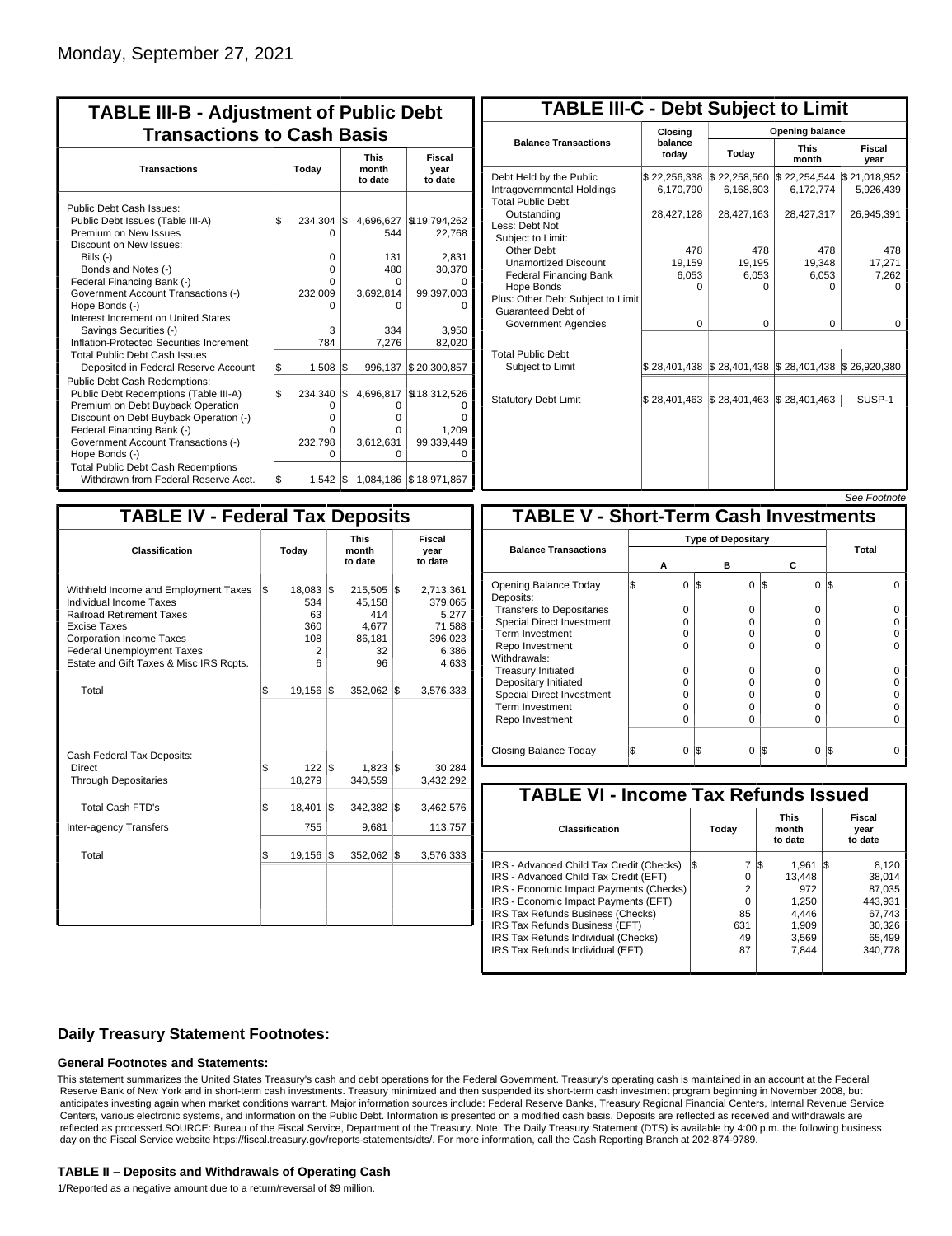| <b>TABLE III-B - Adjustment of Public Debt</b><br><b>Transactions to Cash Basis</b>                                                                                                                                                                                                                                                                        |          |                                                               |            |                                                          |                                                                                        |  |  |  |  |  |  |                                 |                                  |
|------------------------------------------------------------------------------------------------------------------------------------------------------------------------------------------------------------------------------------------------------------------------------------------------------------------------------------------------------------|----------|---------------------------------------------------------------|------------|----------------------------------------------------------|----------------------------------------------------------------------------------------|--|--|--|--|--|--|---------------------------------|----------------------------------|
| <b>Transactions</b>                                                                                                                                                                                                                                                                                                                                        | Today    |                                                               |            |                                                          |                                                                                        |  |  |  |  |  |  | <b>This</b><br>month<br>to date | <b>Fiscal</b><br>year<br>to date |
| Public Debt Cash Issues:<br>Public Debt Issues (Table III-A)<br>Premium on New Issues<br>Discount on New Issues:<br>Bills $(-)$<br>Bonds and Notes (-)<br>Federal Financing Bank (-)<br>Government Account Transactions (-)<br>Hope Bonds (-)<br>Interest Increment on United States<br>Savings Securities (-)<br>Inflation-Protected Securities Increment | l\$      | $234.304$ \\$<br>O<br>0<br>0<br>U<br>232,009<br>n<br>3<br>784 |            | 544<br>131<br>480<br>0<br>3,692,814<br>n<br>334<br>7,276 | 4,696,627   \$19,794,262<br>22,768<br>2,831<br>30,370<br>99,397,003<br>3.950<br>82,020 |  |  |  |  |  |  |                                 |                                  |
| <b>Total Public Debt Cash Issues</b><br>Deposited in Federal Reserve Account<br><b>Public Debt Cash Redemptions:</b><br>Public Debt Redemptions (Table III-A)<br>Premium on Debt Buyback Operation<br>Discount on Debt Buyback Operation (-)                                                                                                               | \$<br>\$ | 1,508<br>234,340<br>0<br>U                                    | l\$<br>l\$ | 996,137<br>0<br>o                                        | \$20,300,857<br>4,696,817   \$18,312,526                                               |  |  |  |  |  |  |                                 |                                  |
| Federal Financing Bank (-)<br>Government Account Transactions (-)<br>Hope Bonds (-)<br><b>Total Public Debt Cash Redemptions</b><br>Withdrawn from Federal Reserve Acct.                                                                                                                                                                                   | \$       | 0<br>232,798<br>O<br>1.542 $\sqrt{3}$                         |            | O<br>3,612,631<br>O                                      | 1.209<br>99,339,449<br>1,084,186   \$18,971,867                                        |  |  |  |  |  |  |                                 |                                  |

| <b>TABLE III-C - Debt Subject to Limit</b>                                        |                             |                                                                                                     |                           |                           |  |  |  |  |  |  |
|-----------------------------------------------------------------------------------|-----------------------------|-----------------------------------------------------------------------------------------------------|---------------------------|---------------------------|--|--|--|--|--|--|
|                                                                                   | Closing                     | Opening balance                                                                                     |                           |                           |  |  |  |  |  |  |
| <b>Balance Transactions</b>                                                       | balance<br>todav            | Today                                                                                               | <b>This</b><br>month      | Fiscal<br>year            |  |  |  |  |  |  |
| Debt Held by the Public<br>Intragovernmental Holdings<br><b>Total Public Debt</b> | \$22,256,338<br>6.170.790   | \$22,258,560<br>6,168,603                                                                           | \$22,254,544<br>6,172,774 | \$21,018,952<br>5,926,439 |  |  |  |  |  |  |
| Outstanding<br>Less: Debt Not<br>Subject to Limit:                                | 28,427,128                  | 28,427,163                                                                                          | 28,427,317                | 26,945,391                |  |  |  |  |  |  |
| Other Debt                                                                        | 478                         | 478                                                                                                 | 478                       | 478                       |  |  |  |  |  |  |
| <b>Unamortized Discount</b>                                                       | 19,159                      | 19,195                                                                                              | 19.348                    | 17,271                    |  |  |  |  |  |  |
| <b>Federal Financing Bank</b>                                                     | 6,053                       | 6,053                                                                                               | 6,053                     | 7,262                     |  |  |  |  |  |  |
| Hope Bonds<br>Plus: Other Debt Subject to Limit<br>Guaranteed Debt of             | n                           | n                                                                                                   | n                         | n                         |  |  |  |  |  |  |
| Government Agencies                                                               | $\Omega$                    | $\Omega$                                                                                            | 0                         | $\Omega$                  |  |  |  |  |  |  |
| <b>Total Public Debt</b><br>Subject to Limit                                      |                             | $\frac{1}{2}$ 28,401,438 $\frac{1}{2}$ 28,401,438 $\frac{1}{2}$ 28,401,438 $\frac{1}{2}$ 26,920,380 |                           |                           |  |  |  |  |  |  |
| <b>Statutory Debt Limit</b>                                                       | $$28,401,463$ $$28,401,463$ |                                                                                                     | \$28,401,463              | SUSP-1                    |  |  |  |  |  |  |
|                                                                                   |                             |                                                                                                     |                           |                           |  |  |  |  |  |  |

### See Footnote

| <b>TABLE IV - Federal Tax Deposits</b>                                                                                                                                                                                                        |     |                                             |     |                                                         |     |                                                                      |  |  |  |
|-----------------------------------------------------------------------------------------------------------------------------------------------------------------------------------------------------------------------------------------------|-----|---------------------------------------------|-----|---------------------------------------------------------|-----|----------------------------------------------------------------------|--|--|--|
| Classification                                                                                                                                                                                                                                |     | Today                                       |     | <b>This</b><br>month<br>to date                         |     | <b>Fiscal</b><br>year<br>to date                                     |  |  |  |
| Withheld Income and Employment Taxes<br>Individual Income Taxes<br><b>Railroad Retirement Taxes</b><br><b>Excise Taxes</b><br><b>Corporation Income Taxes</b><br><b>Federal Unemployment Taxes</b><br>Estate and Gift Taxes & Misc IRS Rcpts. | l\$ | 18,083<br>534<br>63<br>360<br>108<br>2<br>6 | l\$ | 215,505<br>45,158<br>414<br>4.677<br>86,181<br>32<br>96 | l\$ | 2,713,361<br>379,065<br>5,277<br>71,588<br>396,023<br>6,386<br>4,633 |  |  |  |
| Total                                                                                                                                                                                                                                         | \$  | 19,156                                      | 1\$ | 352,062                                                 | 1\$ | 3,576,333                                                            |  |  |  |
| Cash Federal Tax Deposits:<br>Direct<br><b>Through Depositaries</b>                                                                                                                                                                           | \$  | $122$ $\overline{\text{s}}$<br>18,279       |     | $1,823$ \$<br>340,559                                   |     | 30,284<br>3,432,292                                                  |  |  |  |
| <b>Total Cash FTD's</b>                                                                                                                                                                                                                       | Ŝ.  | 18,401                                      | l\$ | 342,382                                                 | 1\$ | 3,462,576                                                            |  |  |  |
| <b>Inter-agency Transfers</b><br>Total                                                                                                                                                                                                        | \$  | 755<br>19,156                               | 1\$ | 9,681<br>352,062                                        | 1\$ | 113,757<br>3,576,333                                                 |  |  |  |
|                                                                                                                                                                                                                                               |     |                                             |     |                                                         |     |                                                                      |  |  |  |
|                                                                                                                                                                                                                                               |     |                                             |     |                                                         |     |                                                                      |  |  |  |

| <b>TABLE V - Short-Term Cash Investments</b> |                           |     |                 |          |       |  |  |  |  |  |
|----------------------------------------------|---------------------------|-----|-----------------|----------|-------|--|--|--|--|--|
|                                              | <b>Type of Depositary</b> |     |                 |          |       |  |  |  |  |  |
| <b>Balance Transactions</b>                  | А                         | в   |                 | С        | Total |  |  |  |  |  |
|                                              |                           |     |                 |          |       |  |  |  |  |  |
| Opening Balance Today<br>Deposits:           | 0                         | 1\$ | 0<br>I\$        | 0        | IS.   |  |  |  |  |  |
| <b>Transfers to Depositaries</b>             | O                         |     | $\Omega$        | $\Omega$ |       |  |  |  |  |  |
| <b>Special Direct Investment</b>             | O                         |     | $\Omega$        | 0        |       |  |  |  |  |  |
| Term Investment                              | O                         |     | 0               | 0        |       |  |  |  |  |  |
| Repo Investment                              | O                         |     | $\Omega$        | O        |       |  |  |  |  |  |
| Withdrawals:                                 |                           |     |                 |          |       |  |  |  |  |  |
| <b>Treasury Initiated</b>                    | O                         |     | 0               | 0        |       |  |  |  |  |  |
| Depositary Initiated                         | n                         |     | U               | U        |       |  |  |  |  |  |
| Special Direct Investment                    | O                         |     | 0               | 0        |       |  |  |  |  |  |
| <b>Term Investment</b>                       | 0                         |     | $\Omega$        | 0        |       |  |  |  |  |  |
| Repo Investment                              | O                         |     | $\Omega$        | O        |       |  |  |  |  |  |
|                                              |                           |     |                 |          |       |  |  |  |  |  |
| Closing Balance Today                        | 0                         | l\$ | I\$<br>$\Omega$ | $\Omega$ | I\$   |  |  |  |  |  |

| <b>TABLE VI - Income Tax Refunds Issued</b> |     |       |     |                                 |     |                           |  |  |  |
|---------------------------------------------|-----|-------|-----|---------------------------------|-----|---------------------------|--|--|--|
| Classification                              |     | Today |     | <b>This</b><br>month<br>to date |     | Fiscal<br>year<br>to date |  |  |  |
| IRS - Advanced Child Tax Credit (Checks)    | l\$ | 7     | 1\$ | 1.961                           | I\$ | 8,120                     |  |  |  |
| IRS - Advanced Child Tax Credit (EFT)       |     | 0     |     | 13.448                          |     | 38.014                    |  |  |  |
| IRS - Economic Impact Payments (Checks)     |     | 2     |     | 972                             |     | 87.035                    |  |  |  |
| IRS - Economic Impact Payments (EFT)        |     | 0     |     | 1,250                           |     | 443.931                   |  |  |  |
| IRS Tax Refunds Business (Checks)           |     | 85    |     | 4.446                           |     | 67.743                    |  |  |  |
| IRS Tax Refunds Business (EFT)              |     | 631   |     | 1,909                           |     | 30.326                    |  |  |  |
| IRS Tax Refunds Individual (Checks)         |     | 49    |     | 3,569                           |     | 65,499                    |  |  |  |
| IRS Tax Refunds Individual (EFT)            |     | 87    |     | 7.844                           |     | 340.778                   |  |  |  |
|                                             |     |       |     |                                 |     |                           |  |  |  |

## **Daily Treasury Statement Footnotes:**

### **General Footnotes and Statements:**

This statement summarizes the United States Treasury's cash and debt operations for the Federal Government. Treasury's operating cash is maintained in an account at the Federal Reserve Bank of New York and in short-term cash investments. Treasury minimized and then suspended its short-term cash investment program beginning in November 2008, but anticipates investing again when market conditions warrant. Major information sources include: Federal Reserve Banks, Treasury Regional Financial Centers, Internal Revenue Service Centers, various electronic systems, and information on the Public Debt. Information is presented on a modified cash basis. Deposits are reflected as received and withdrawals are reflected as processed.SOURCE: Bureau of the Fiscal Service, Department of the Treasury. Note: The Daily Treasury Statement (DTS) is available by 4:00 p.m. the following business day on the Fiscal Service website https://fiscal.treasury.gov/reports-statements/dts/. For more information, call the Cash Reporting Branch at 202-874-9789.

#### **TABLE II – Deposits and Withdrawals of Operating Cash**

1/Reported as a negative amount due to a return/reversal of \$9 million.